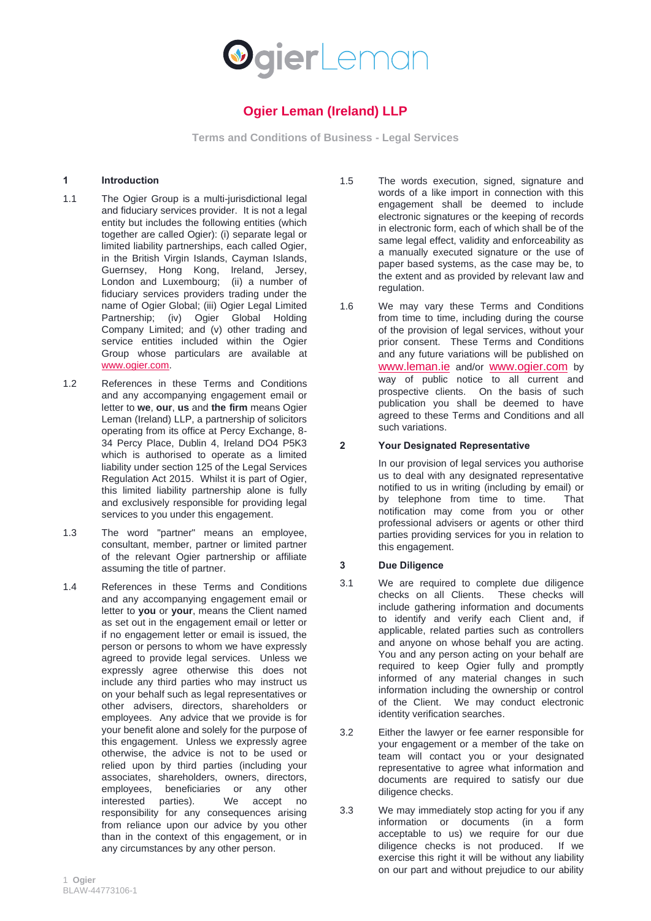

# **Ogier Leman (Ireland) LLP**

**Terms and Conditions of Business - Legal Services**

#### **1 Introduction**

- 1.1 The Ogier Group is a multi-jurisdictional legal and fiduciary services provider. It is not a legal entity but includes the following entities (which together are called Ogier): (i) separate legal or limited liability partnerships, each called Ogier, in the British Virgin Islands, Cayman Islands, Guernsey, Hong Kong, Ireland, Jersey, London and Luxembourg; (ii) a number of fiduciary services providers trading under the name of Ogier Global; (iii) Ogier Legal Limited Partnership; (iv) Ogier Global Holding Company Limited; and (v) other trading and service entities included within the Ogier Group whose particulars are available at [www.ogier.com.](http://www.ogier.com/)
- 1.2 References in these Terms and Conditions and any accompanying engagement email or letter to **we**, **our**, **us** and **the firm** means Ogier Leman (Ireland) LLP, a partnership of solicitors operating from its office at Percy Exchange, 8- 34 Percy Place, Dublin 4, Ireland DO4 P5K3 which is authorised to operate as a limited liability under section 125 of the Legal Services Regulation Act 2015. Whilst it is part of Ogier, this limited liability partnership alone is fully and exclusively responsible for providing legal services to you under this engagement.
- 1.3 The word "partner" means an employee, consultant, member, partner or limited partner of the relevant Ogier partnership or affiliate assuming the title of partner.
- 1.4 References in these Terms and Conditions and any accompanying engagement email or letter to **you** or **your**, means the Client named as set out in the engagement email or letter or if no engagement letter or email is issued, the person or persons to whom we have expressly agreed to provide legal services. Unless we expressly agree otherwise this does not include any third parties who may instruct us on your behalf such as legal representatives or other advisers, directors, shareholders or employees. Any advice that we provide is for your benefit alone and solely for the purpose of this engagement. Unless we expressly agree otherwise, the advice is not to be used or relied upon by third parties (including your associates, shareholders, owners, directors, employees, beneficiaries or any other interested parties). We accept no responsibility for any consequences arising from reliance upon our advice by you other than in the context of this engagement, or in any circumstances by any other person.
- 1.5 The words execution, signed, signature and words of a like import in connection with this engagement shall be deemed to include electronic signatures or the keeping of records in electronic form, each of which shall be of the same legal effect, validity and enforceability as a manually executed signature or the use of paper based systems, as the case may be, to the extent and as provided by relevant law and regulation.
- 1.6 We may vary these Terms and Conditions from time to time, including during the course of the provision of legal services, without your prior consent. These Terms and Conditions and any future variations will be published on [www.leman.ie](http://www.leman.ie/) and/or [www.ogier.com](http://www.ogier.com/) by way of public notice to all current and prospective clients. On the basis of such publication you shall be deemed to have agreed to these Terms and Conditions and all such variations.

# **2 Your Designated Representative**

In our provision of legal services you authorise us to deal with any designated representative notified to us in writing (including by email) or by telephone from time to time. That notification may come from you or other professional advisers or agents or other third parties providing services for you in relation to this engagement.

# **3 Due Diligence**

- 3.1 We are required to complete due diligence checks on all Clients. These checks will include gathering information and documents to identify and verify each Client and, if applicable, related parties such as controllers and anyone on whose behalf you are acting. You and any person acting on your behalf are required to keep Ogier fully and promptly informed of any material changes in such information including the ownership or control of the Client. We may conduct electronic identity verification searches.
- 3.2 Either the lawyer or fee earner responsible for your engagement or a member of the take on team will contact you or your designated representative to agree what information and documents are required to satisfy our due diligence checks.
- 3.3 We may immediately stop acting for you if any information or documents (in a form acceptable to us) we require for our due diligence checks is not produced. If we exercise this right it will be without any liability on our part and without prejudice to our ability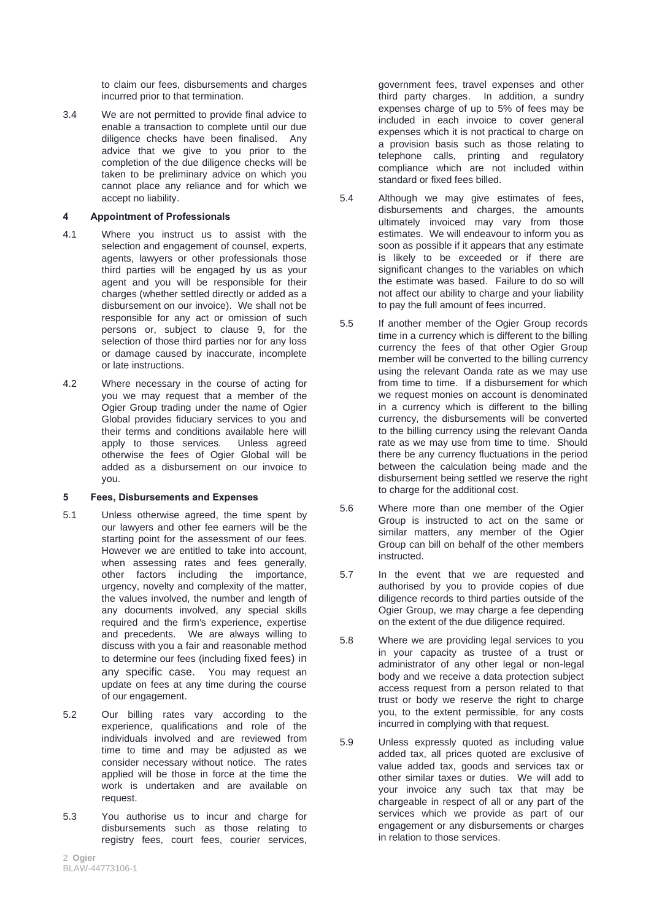to claim our fees, disbursements and charges incurred prior to that termination.

3.4 We are not permitted to provide final advice to enable a transaction to complete until our due diligence checks have been finalised. Any advice that we give to you prior to the completion of the due diligence checks will be taken to be preliminary advice on which you cannot place any reliance and for which we accept no liability.

#### **4 Appointment of Professionals**

- 4.1 Where you instruct us to assist with the selection and engagement of counsel, experts, agents, lawyers or other professionals those third parties will be engaged by us as your agent and you will be responsible for their charges (whether settled directly or added as a disbursement on our invoice). We shall not be responsible for any act or omission of such persons or, subject to clause 9, for the selection of those third parties nor for any loss or damage caused by inaccurate, incomplete or late instructions.
- 4.2 Where necessary in the course of acting for you we may request that a member of the Ogier Group trading under the name of Ogier Global provides fiduciary services to you and their terms and conditions available here will apply to those services. Unless agreed otherwise the fees of Ogier Global will be added as a disbursement on our invoice to you.

#### **5 Fees, Disbursements and Expenses**

- 5.1 Unless otherwise agreed, the time spent by our lawyers and other fee earners will be the starting point for the assessment of our fees. However we are entitled to take into account, when assessing rates and fees generally, other factors including the importance, urgency, novelty and complexity of the matter, the values involved, the number and length of any documents involved, any special skills required and the firm's experience, expertise and precedents. We are always willing to discuss with you a fair and reasonable method to determine our fees (including fixed fees) in any specific case. You may request an update on fees at any time during the course of our engagement.
- 5.2 Our billing rates vary according to the experience, qualifications and role of the individuals involved and are reviewed from time to time and may be adjusted as we consider necessary without notice. The rates applied will be those in force at the time the work is undertaken and are available on request.
- 5.3 You authorise us to incur and charge for disbursements such as those relating to registry fees, court fees, courier services,

government fees, travel expenses and other third party charges. In addition, a sundry expenses charge of up to 5% of fees may be included in each invoice to cover general expenses which it is not practical to charge on a provision basis such as those relating to telephone calls, printing and regulatory compliance which are not included within standard or fixed fees billed.

- 5.4 Although we may give estimates of fees, disbursements and charges, the amounts ultimately invoiced may vary from those estimates. We will endeavour to inform you as soon as possible if it appears that any estimate is likely to be exceeded or if there are significant changes to the variables on which the estimate was based. Failure to do so will not affect our ability to charge and your liability to pay the full amount of fees incurred.
- 5.5 If another member of the Ogier Group records time in a currency which is different to the billing currency the fees of that other Ogier Group member will be converted to the billing currency using the relevant Oanda rate as we may use from time to time. If a disbursement for which we request monies on account is denominated in a currency which is different to the billing currency, the disbursements will be converted to the billing currency using the relevant Oanda rate as we may use from time to time. Should there be any currency fluctuations in the period between the calculation being made and the disbursement being settled we reserve the right to charge for the additional cost.
- 5.6 Where more than one member of the Ogier Group is instructed to act on the same or similar matters, any member of the Ogier Group can bill on behalf of the other members instructed.
- 5.7 In the event that we are requested and authorised by you to provide copies of due diligence records to third parties outside of the Ogier Group, we may charge a fee depending on the extent of the due diligence required.
- 5.8 Where we are providing legal services to you in your capacity as trustee of a trust or administrator of any other legal or non-legal body and we receive a data protection subject access request from a person related to that trust or body we reserve the right to charge you, to the extent permissible, for any costs incurred in complying with that request.
- 5.9 Unless expressly quoted as including value added tax, all prices quoted are exclusive of value added tax, goods and services tax or other similar taxes or duties. We will add to your invoice any such tax that may be chargeable in respect of all or any part of the services which we provide as part of our engagement or any disbursements or charges in relation to those services.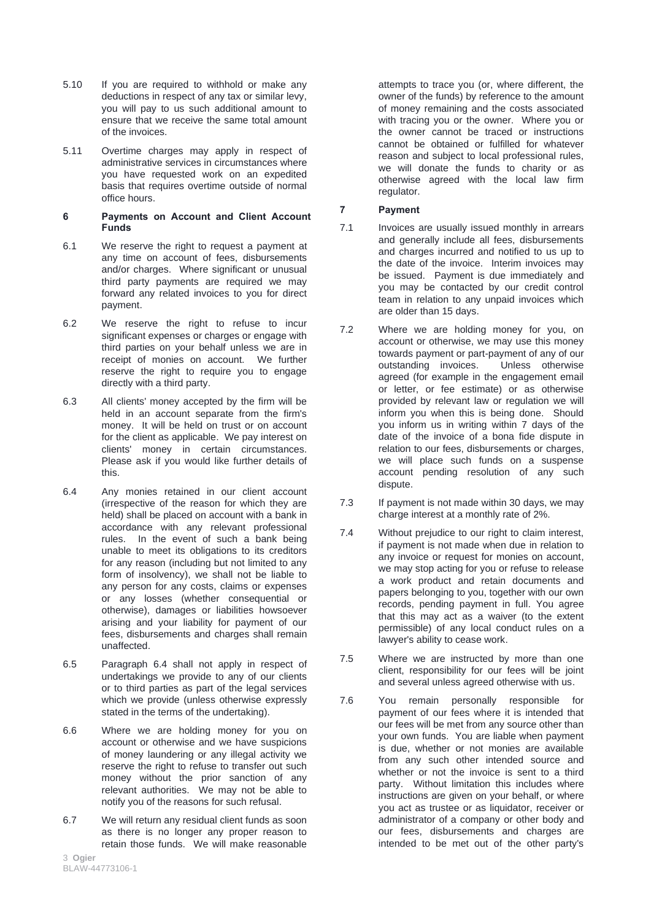- 5.10 If you are required to withhold or make any deductions in respect of any tax or similar levy, you will pay to us such additional amount to ensure that we receive the same total amount of the invoices.
- 5.11 Overtime charges may apply in respect of administrative services in circumstances where you have requested work on an expedited basis that requires overtime outside of normal office hours.

#### **6 Payments on Account and Client Account Funds**

- 6.1 We reserve the right to request a payment at any time on account of fees, disbursements and/or charges. Where significant or unusual third party payments are required we may forward any related invoices to you for direct payment.
- 6.2 We reserve the right to refuse to incur significant expenses or charges or engage with third parties on your behalf unless we are in receipt of monies on account. We further reserve the right to require you to engage directly with a third party.
- 6.3 All clients' money accepted by the firm will be held in an account separate from the firm's money. It will be held on trust or on account for the client as applicable. We pay interest on clients' money in certain circumstances. Please ask if you would like further details of this.
- 6.4 Any monies retained in our client account (irrespective of the reason for which they are held) shall be placed on account with a bank in accordance with any relevant professional rules. In the event of such a bank being unable to meet its obligations to its creditors for any reason (including but not limited to any form of insolvency), we shall not be liable to any person for any costs, claims or expenses or any losses (whether consequential or otherwise), damages or liabilities howsoever arising and your liability for payment of our fees, disbursements and charges shall remain unaffected.
- 6.5 Paragraph 6.4 shall not apply in respect of undertakings we provide to any of our clients or to third parties as part of the legal services which we provide (unless otherwise expressly stated in the terms of the undertaking).
- 6.6 Where we are holding money for you on account or otherwise and we have suspicions of money laundering or any illegal activity we reserve the right to refuse to transfer out such money without the prior sanction of any relevant authorities. We may not be able to notify you of the reasons for such refusal.
- 6.7 We will return any residual client funds as soon as there is no longer any proper reason to retain those funds. We will make reasonable

3 **Ogier** BLAW-44773106-1 attempts to trace you (or, where different, the owner of the funds) by reference to the amount of money remaining and the costs associated with tracing you or the owner. Where you or the owner cannot be traced or instructions cannot be obtained or fulfilled for whatever reason and subject to local professional rules, we will donate the funds to charity or as otherwise agreed with the local law firm regulator.

# **7 Payment**

- 7.1 Invoices are usually issued monthly in arrears and generally include all fees, disbursements and charges incurred and notified to us up to the date of the invoice. Interim invoices may be issued. Payment is due immediately and you may be contacted by our credit control team in relation to any unpaid invoices which are older than 15 days.
- 7.2 Where we are holding money for you, on account or otherwise, we may use this money towards payment or part-payment of any of our outstanding invoices. Unless otherwise agreed (for example in the engagement email or letter, or fee estimate) or as otherwise provided by relevant law or regulation we will inform you when this is being done. Should you inform us in writing within 7 days of the date of the invoice of a bona fide dispute in relation to our fees, disbursements or charges, we will place such funds on a suspense account pending resolution of any such dispute.
- 7.3 If payment is not made within 30 days, we may charge interest at a monthly rate of 2%.
- 7.4 Without prejudice to our right to claim interest, if payment is not made when due in relation to any invoice or request for monies on account, we may stop acting for you or refuse to release a work product and retain documents and papers belonging to you, together with our own records, pending payment in full. You agree that this may act as a waiver (to the extent permissible) of any local conduct rules on a lawyer's ability to cease work.
- 7.5 Where we are instructed by more than one client, responsibility for our fees will be joint and several unless agreed otherwise with us.
- 7.6 You remain personally responsible for payment of our fees where it is intended that our fees will be met from any source other than your own funds. You are liable when payment is due, whether or not monies are available from any such other intended source and whether or not the invoice is sent to a third party. Without limitation this includes where instructions are given on your behalf, or where you act as trustee or as liquidator, receiver or administrator of a company or other body and our fees, disbursements and charges are intended to be met out of the other party's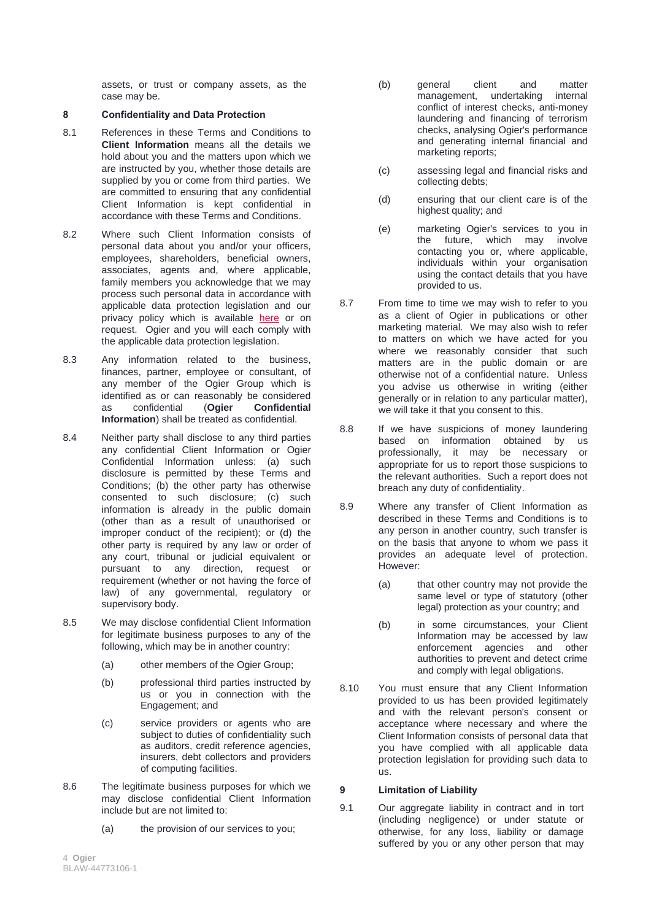assets, or trust or company assets, as the case may be.

# **8 Confidentiality and Data Protection**

- 8.1 References in these Terms and Conditions to **Client Information** means all the details we hold about you and the matters upon which we are instructed by you, whether those details are supplied by you or come from third parties. We are committed to ensuring that any confidential Client Information is kept confidential in accordance with these Terms and Conditions.
- 8.2 Where such Client Information consists of personal data about you and/or your officers, employees, shareholders, beneficial owners, associates, agents and, where applicable, family members you acknowledge that we may process such personal data in accordance with applicable data protection legislation and our privacy policy which is available [here](http://www.ogier.com/privacy-policy) or on request. Ogier and you will each comply with the applicable data protection legislation.
- 8.3 Any information related to the business, finances, partner, employee or consultant, of any member of the Ogier Group which is identified as or can reasonably be considered as confidential (**Ogier Confidential Information**) shall be treated as confidential.
- 8.4 Neither party shall disclose to any third parties any confidential Client Information or Ogier Confidential Information unless: (a) such disclosure is permitted by these Terms and Conditions; (b) the other party has otherwise consented to such disclosure; (c) such information is already in the public domain (other than as a result of unauthorised or improper conduct of the recipient); or (d) the other party is required by any law or order of any court, tribunal or judicial equivalent or pursuant to any direction, request or requirement (whether or not having the force of law) of any governmental, regulatory or supervisory body.
- 8.5 We may disclose confidential Client Information for legitimate business purposes to any of the following, which may be in another country:
	- (a) other members of the Ogier Group;
	- (b) professional third parties instructed by us or you in connection with the Engagement; and
	- (c) service providers or agents who are subject to duties of confidentiality such as auditors, credit reference agencies, insurers, debt collectors and providers of computing facilities.
- 8.6 The legitimate business purposes for which we may disclose confidential Client Information include but are not limited to:
	- (a) the provision of our services to you;
- (b) general client and matter management, undertaking internal conflict of interest checks, anti-money laundering and financing of terrorism checks, analysing Ogier's performance and generating internal financial and marketing reports;
- (c) assessing legal and financial risks and collecting debts;
- (d) ensuring that our client care is of the highest quality; and
- (e) marketing Ogier's services to you in the future, which may involve contacting you or, where applicable, individuals within your organisation using the contact details that you have provided to us.
- 8.7 From time to time we may wish to refer to you as a client of Ogier in publications or other marketing material. We may also wish to refer to matters on which we have acted for you where we reasonably consider that such matters are in the public domain or are otherwise not of a confidential nature. Unless you advise us otherwise in writing (either generally or in relation to any particular matter), we will take it that you consent to this.
- 8.8 If we have suspicions of money laundering based on information obtained by us professionally, it may be necessary or appropriate for us to report those suspicions to the relevant authorities. Such a report does not breach any duty of confidentiality.
- 8.9 Where any transfer of Client Information as described in these Terms and Conditions is to any person in another country, such transfer is on the basis that anyone to whom we pass it provides an adequate level of protection. However:
	- (a) that other country may not provide the same level or type of statutory (other legal) protection as your country; and
	- (b) in some circumstances, your Client Information may be accessed by law enforcement agencies and other authorities to prevent and detect crime and comply with legal obligations.
- 8.10 You must ensure that any Client Information provided to us has been provided legitimately and with the relevant person's consent or acceptance where necessary and where the Client Information consists of personal data that you have complied with all applicable data protection legislation for providing such data to us.

# **9 Limitation of Liability**

9.1 Our aggregate liability in contract and in tort (including negligence) or under statute or otherwise, for any loss, liability or damage suffered by you or any other person that may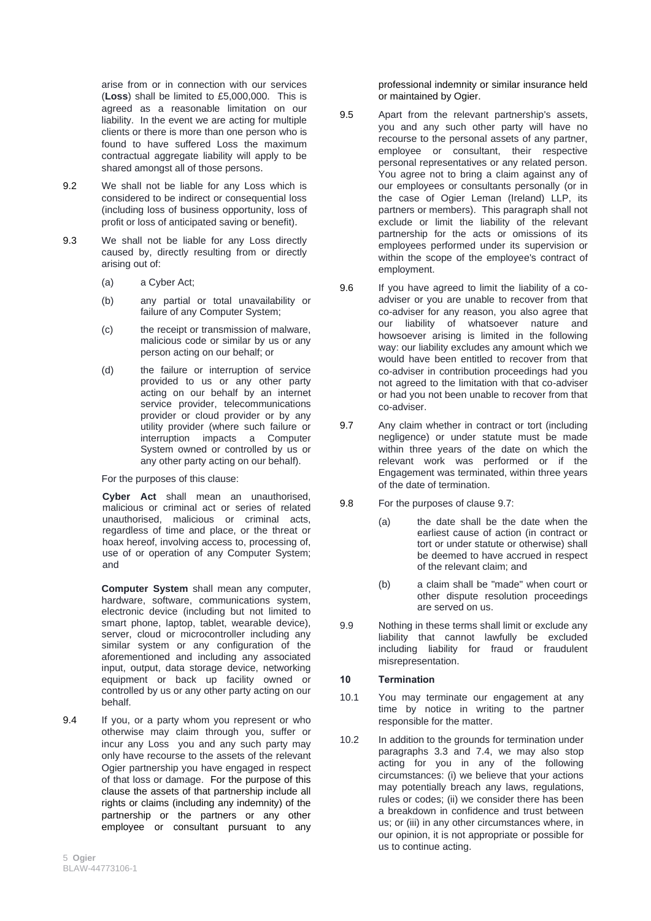arise from or in connection with our services (**Loss**) shall be limited to £5,000,000. This is agreed as a reasonable limitation on our liability. In the event we are acting for multiple clients or there is more than one person who is found to have suffered Loss the maximum contractual aggregate liability will apply to be shared amongst all of those persons.

- 9.2 We shall not be liable for any Loss which is considered to be indirect or consequential loss (including loss of business opportunity, loss of profit or loss of anticipated saving or benefit).
- 9.3 We shall not be liable for any Loss directly caused by, directly resulting from or directly arising out of:
	- (a) a Cyber Act;
	- (b) any partial or total unavailability or failure of any Computer System;
	- (c) the receipt or transmission of malware, malicious code or similar by us or any person acting on our behalf; or
	- (d) the failure or interruption of service provided to us or any other party acting on our behalf by an internet service provider, telecommunications provider or cloud provider or by any utility provider (where such failure or interruption impacts a Computer System owned or controlled by us or any other party acting on our behalf).

For the purposes of this clause:

**Cyber Act** shall mean an unauthorised, malicious or criminal act or series of related unauthorised, malicious or criminal acts, regardless of time and place, or the threat or hoax hereof, involving access to, processing of, use of or operation of any Computer System; and

**Computer System** shall mean any computer, hardware, software, communications system, electronic device (including but not limited to smart phone, laptop, tablet, wearable device), server, cloud or microcontroller including any similar system or any configuration of the aforementioned and including any associated input, output, data storage device, networking equipment or back up facility owned or controlled by us or any other party acting on our behalf.

9.4 If you, or a party whom you represent or who otherwise may claim through you, suffer or incur any Loss you and any such party may only have recourse to the assets of the relevant Ogier partnership you have engaged in respect of that loss or damage. For the purpose of this clause the assets of that partnership include all rights or claims (including any indemnity) of the partnership or the partners or any other employee or consultant pursuant to any

professional indemnity or similar insurance held or maintained by Ogier.

- 9.5 Apart from the relevant partnership's assets, you and any such other party will have no recourse to the personal assets of any partner, employee or consultant, their respective personal representatives or any related person. You agree not to bring a claim against any of our employees or consultants personally (or in the case of Ogier Leman (Ireland) LLP, its partners or members). This paragraph shall not exclude or limit the liability of the relevant partnership for the acts or omissions of its employees performed under its supervision or within the scope of the employee's contract of employment.
- 9.6 If you have agreed to limit the liability of a coadviser or you are unable to recover from that co-adviser for any reason, you also agree that our liability of whatsoever nature and howsoever arising is limited in the following way: our liability excludes any amount which we would have been entitled to recover from that co-adviser in contribution proceedings had you not agreed to the limitation with that co-adviser or had you not been unable to recover from that co-adviser.
- 9.7 Any claim whether in contract or tort (including negligence) or under statute must be made within three years of the date on which the relevant work was performed or if the Engagement was terminated, within three years of the date of termination.
- 9.8 For the purposes of clause 9.7:
	- (a) the date shall be the date when the earliest cause of action (in contract or tort or under statute or otherwise) shall be deemed to have accrued in respect of the relevant claim; and
	- (b) a claim shall be "made" when court or other dispute resolution proceedings are served on us.
- 9.9 Nothing in these terms shall limit or exclude any liability that cannot lawfully be excluded including liability for fraud or fraudulent misrepresentation.

#### **10 Termination**

- 10.1 You may terminate our engagement at any time by notice in writing to the partner responsible for the matter.
- 10.2 In addition to the grounds for termination under paragraphs 3.3 and 7.4, we may also stop acting for you in any of the following circumstances: (i) we believe that your actions may potentially breach any laws, regulations, rules or codes; (ii) we consider there has been a breakdown in confidence and trust between us; or (iii) in any other circumstances where, in our opinion, it is not appropriate or possible for us to continue acting.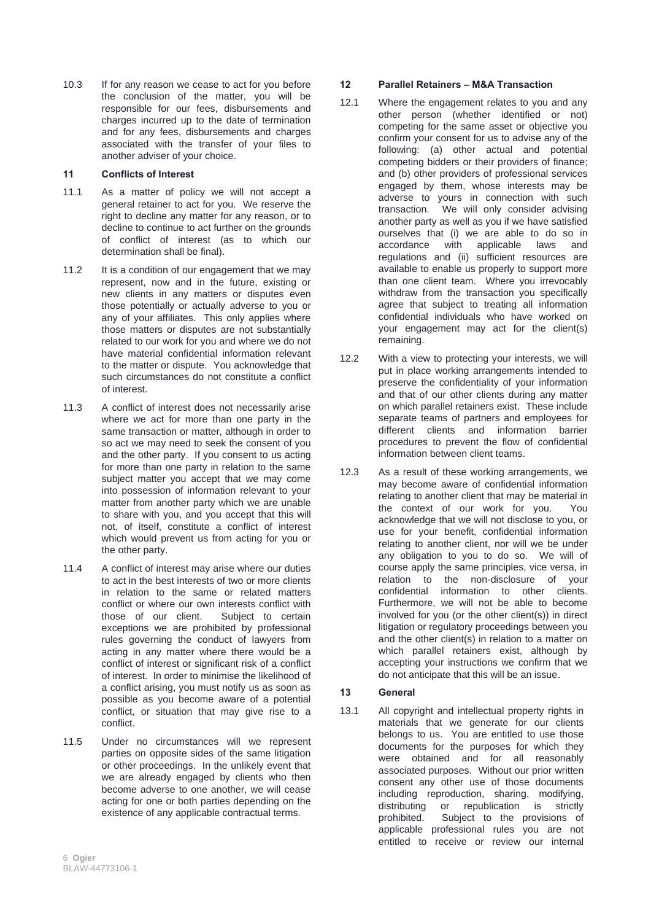10.3 If for any reason we cease to act for you before the conclusion of the matter, you will be responsible for our fees, disbursements and charges incurred up to the date of termination and for any fees, disbursements and charges associated with the transfer of your files to another adviser of your choice.

#### **11 Conflicts of Interest**

- 11.1 As a matter of policy we will not accept a general retainer to act for you. We reserve the right to decline any matter for any reason, or to decline to continue to act further on the grounds of conflict of interest (as to which our determination shall be final).
- 11.2 It is a condition of our engagement that we may represent, now and in the future, existing or new clients in any matters or disputes even those potentially or actually adverse to you or any of your affiliates. This only applies where those matters or disputes are not substantially related to our work for you and where we do not have material confidential information relevant to the matter or dispute. You acknowledge that such circumstances do not constitute a conflict of interest.
- 11.3 A conflict of interest does not necessarily arise where we act for more than one party in the same transaction or matter, although in order to so act we may need to seek the consent of you and the other party. If you consent to us acting for more than one party in relation to the same subject matter you accept that we may come into possession of information relevant to your matter from another party which we are unable to share with you, and you accept that this will not, of itself, constitute a conflict of interest which would prevent us from acting for you or the other party.
- 11.4 A conflict of interest may arise where our duties to act in the best interests of two or more clients in relation to the same or related matters conflict or where our own interests conflict with those of our client. Subject to certain exceptions we are prohibited by professional rules governing the conduct of lawyers from acting in any matter where there would be a conflict of interest or significant risk of a conflict of interest. In order to minimise the likelihood of a conflict arising, you must notify us as soon as possible as you become aware of a potential conflict, or situation that may give rise to a conflict.
- 11.5 Under no circumstances will we represent parties on opposite sides of the same litigation or other proceedings. In the unlikely event that we are already engaged by clients who then become adverse to one another, we will cease acting for one or both parties depending on the existence of any applicable contractual terms.

#### **12 Parallel Retainers – M&A Transaction**

- 12.1 Where the engagement relates to you and any other person (whether identified or not) competing for the same asset or objective you confirm your consent for us to advise any of the following: (a) other actual and potential competing bidders or their providers of finance; and (b) other providers of professional services engaged by them, whose interests may be adverse to yours in connection with such transaction. We will only consider advising another party as well as you if we have satisfied ourselves that (i) we are able to do so in accordance with applicable laws and regulations and (ii) sufficient resources are available to enable us properly to support more than one client team. Where you irrevocably withdraw from the transaction you specifically agree that subject to treating all information confidential individuals who have worked on your engagement may act for the client(s) remaining.
- 12.2 With a view to protecting your interests, we will put in place working arrangements intended to preserve the confidentiality of your information and that of our other clients during any matter on which parallel retainers exist. These include separate teams of partners and employees for different clients and information barrier procedures to prevent the flow of confidential information between client teams.
- 12.3 As a result of these working arrangements, we may become aware of confidential information relating to another client that may be material in the context of our work for you. You acknowledge that we will not disclose to you, or use for your benefit, confidential information relating to another client, nor will we be under any obligation to you to do so. We will of course apply the same principles, vice versa, in relation to the non-disclosure of your confidential information to other clients. Furthermore, we will not be able to become involved for you (or the other client(s)) in direct litigation or regulatory proceedings between you and the other client(s) in relation to a matter on which parallel retainers exist, although by accepting your instructions we confirm that we do not anticipate that this will be an issue.

#### **13 General**

13.1 All copyright and intellectual property rights in materials that we generate for our clients belongs to us. You are entitled to use those documents for the purposes for which they were obtained and for all reasonably associated purposes. Without our prior written consent any other use of those documents including reproduction, sharing, modifying,<br>distributing or republication is strictly republication is strictly prohibited. Subject to the provisions of applicable professional rules you are not entitled to receive or review our internal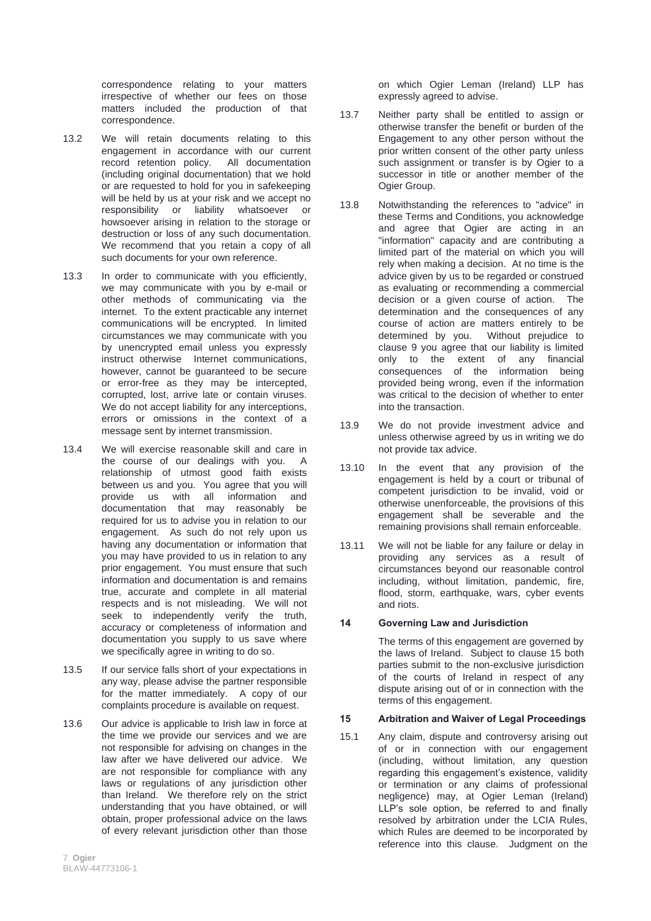correspondence relating to your matters irrespective of whether our fees on those matters included the production of that correspondence.

- 13.2 We will retain documents relating to this engagement in accordance with our current<br>record retention policy. All documentation record retention policy. (including original documentation) that we hold or are requested to hold for you in safekeeping will be held by us at your risk and we accept no responsibility or liability whatsoever or howsoever arising in relation to the storage or destruction or loss of any such documentation. We recommend that you retain a copy of all such documents for your own reference.
- 13.3 In order to communicate with you efficiently, we may communicate with you by e-mail or other methods of communicating via the internet. To the extent practicable any internet communications will be encrypted. In limited circumstances we may communicate with you by unencrypted email unless you expressly instruct otherwise Internet communications, however, cannot be guaranteed to be secure or error-free as they may be intercepted, corrupted, lost, arrive late or contain viruses. We do not accept liability for any interceptions, errors or omissions in the context of a message sent by internet transmission.
- 13.4 We will exercise reasonable skill and care in the course of our dealings with you. A relationship of utmost good faith exists between us and you. You agree that you will provide us with all information and documentation that may reasonably be required for us to advise you in relation to our engagement. As such do not rely upon us having any documentation or information that you may have provided to us in relation to any prior engagement. You must ensure that such information and documentation is and remains true, accurate and complete in all material respects and is not misleading. We will not seek to independently verify the truth, accuracy or completeness of information and documentation you supply to us save where we specifically agree in writing to do so.
- 13.5 If our service falls short of your expectations in any way, please advise the partner responsible for the matter immediately. A copy of our complaints procedure is available on request.
- 13.6 Our advice is applicable to Irish law in force at the time we provide our services and we are not responsible for advising on changes in the law after we have delivered our advice. We are not responsible for compliance with any laws or regulations of any jurisdiction other than Ireland. We therefore rely on the strict understanding that you have obtained, or will obtain, proper professional advice on the laws of every relevant jurisdiction other than those

on which Ogier Leman (Ireland) LLP has expressly agreed to advise.

- 13.7 Neither party shall be entitled to assign or otherwise transfer the benefit or burden of the Engagement to any other person without the prior written consent of the other party unless such assignment or transfer is by Ogier to a successor in title or another member of the Ogier Group.
- 13.8 Notwithstanding the references to "advice" in these Terms and Conditions, you acknowledge and agree that Ogier are acting in an "information" capacity and are contributing a limited part of the material on which you will rely when making a decision. At no time is the advice given by us to be regarded or construed as evaluating or recommending a commercial decision or a given course of action. The determination and the consequences of any course of action are matters entirely to be determined by you. Without prejudice to clause 9 you agree that our liability is limited only to the extent of any financial consequences of the information being provided being wrong, even if the information was critical to the decision of whether to enter into the transaction.
- 13.9 We do not provide investment advice and unless otherwise agreed by us in writing we do not provide tax advice.
- 13.10 In the event that any provision of the engagement is held by a court or tribunal of competent jurisdiction to be invalid, void or otherwise unenforceable, the provisions of this engagement shall be severable and the remaining provisions shall remain enforceable.
- 13.11 We will not be liable for any failure or delay in providing any services as a result of circumstances beyond our reasonable control including, without limitation, pandemic, fire, flood, storm, earthquake, wars, cyber events and riots.

# **14 Governing Law and Jurisdiction**

The terms of this engagement are governed by the laws of Ireland. Subject to clause 15 both parties submit to the non-exclusive jurisdiction of the courts of Ireland in respect of any dispute arising out of or in connection with the terms of this engagement.

# **15 Arbitration and Waiver of Legal Proceedings**

15.1 Any claim, dispute and controversy arising out of or in connection with our engagement (including, without limitation, any question regarding this engagement's existence, validity or termination or any claims of professional negligence) may, at Ogier Leman (Ireland) LLP's sole option, be referred to and finally resolved by arbitration under the LCIA Rules, which Rules are deemed to be incorporated by reference into this clause. Judgment on the